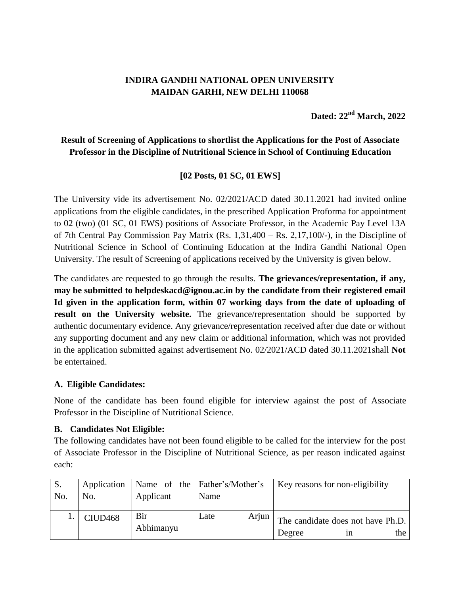## **INDIRA GANDHI NATIONAL OPEN UNIVERSITY MAIDAN GARHI, NEW DELHI 110068**

**Dated: 22nd March, 2022**

# **Result of Screening of Applications to shortlist the Applications for the Post of Associate Professor in the Discipline of Nutritional Science in School of Continuing Education**

## **[02 Posts, 01 SC, 01 EWS]**

The University vide its advertisement No. 02/2021/ACD dated 30.11.2021 had invited online applications from the eligible candidates, in the prescribed Application Proforma for appointment to 02 (two) (01 SC, 01 EWS) positions of Associate Professor, in the Academic Pay Level 13A of 7th Central Pay Commission Pay Matrix (Rs. 1,31,400 – Rs. 2,17,100/-), in the Discipline of Nutritional Science in School of Continuing Education at the Indira Gandhi National Open University. The result of Screening of applications received by the University is given below.

The candidates are requested to go through the results. **The grievances/representation, if any, may be submitted to helpdeskacd@ignou.ac.in by the candidate from their registered email Id given in the application form, within 07 working days from the date of uploading of result on the University website.** The grievance/representation should be supported by authentic documentary evidence. Any grievance/representation received after due date or without any supporting document and any new claim or additional information, which was not provided in the application submitted against advertisement No. 02/2021/ACD dated 30.11.2021shall **Not** be entertained.

### **A. Eligible Candidates:**

None of the candidate has been found eligible for interview against the post of Associate Professor in the Discipline of Nutritional Science.

### **B. Candidates Not Eligible:**

The following candidates have not been found eligible to be called for the interview for the post of Associate Professor in the Discipline of Nutritional Science, as per reason indicated against each:

| S.  |                     |                  | Application   Name of the   Father's/Mother's | Key reasons for non-eligibility                          |
|-----|---------------------|------------------|-----------------------------------------------|----------------------------------------------------------|
| No. | No.                 | Applicant        | Name                                          |                                                          |
|     | CIUD <sub>468</sub> | Bir<br>Abhimanyu | Arjun<br>Late                                 | The candidate does not have Ph.D.<br>the<br>Degree<br>1n |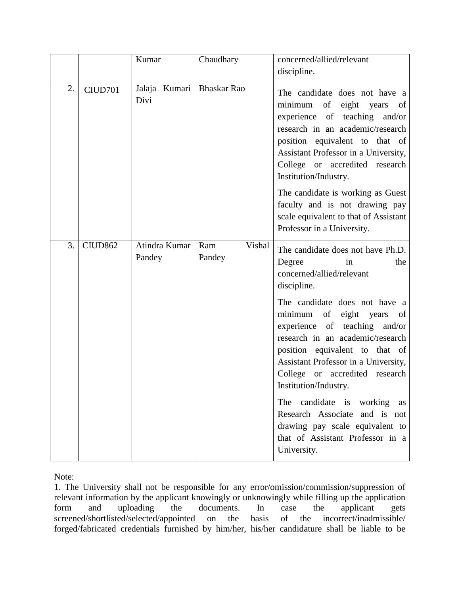|    |                     | Kumar                   | Chaudhary               | concerned/allied/relevant<br>discipline.                                                                                                                                                                                                                                                                                                                                                                                                                                                                                                    |
|----|---------------------|-------------------------|-------------------------|---------------------------------------------------------------------------------------------------------------------------------------------------------------------------------------------------------------------------------------------------------------------------------------------------------------------------------------------------------------------------------------------------------------------------------------------------------------------------------------------------------------------------------------------|
| 2. | CIUD701             | Jalaja Kumari<br>Divi   | <b>Bhaskar Rao</b>      | The candidate does not have a<br>eight years<br>minimum<br>of<br>of<br>experience of teaching and/or<br>research in an academic/research<br>position equivalent to that of<br>Assistant Professor in a University,<br>College or accredited research<br>Institution/Industry.<br>The candidate is working as Guest<br>faculty and is not drawing pay<br>scale equivalent to that of Assistant<br>Professor in a University.                                                                                                                 |
| 3. | CIUD <sub>862</sub> | Atindra Kumar<br>Pandey | Vishal<br>Ram<br>Pandey | The candidate does not have Ph.D.<br>Degree<br>the<br>in<br>concerned/allied/relevant<br>discipline.<br>The candidate does not have a<br>minimum<br>of<br>eight years of<br>experience of teaching and/or<br>research in an academic/research<br>position equivalent to that of<br>Assistant Professor in a University,<br>College or accredited research<br>Institution/Industry.<br>The candidate is working<br>as<br>Research Associate and is not<br>drawing pay scale equivalent to<br>that of Assistant Professor in a<br>University. |

Note:

1. The University shall not be responsible for any error/omission/commission/suppression of relevant information by the applicant knowingly or unknowingly while filling up the application form and uploading the documents. In case the applicant gets screened/shortlisted/selected/appointed on the basis of the incorrect/inadmissible/ forged/fabricated credentials furnished by him/her, his/her candidature shall be liable to be